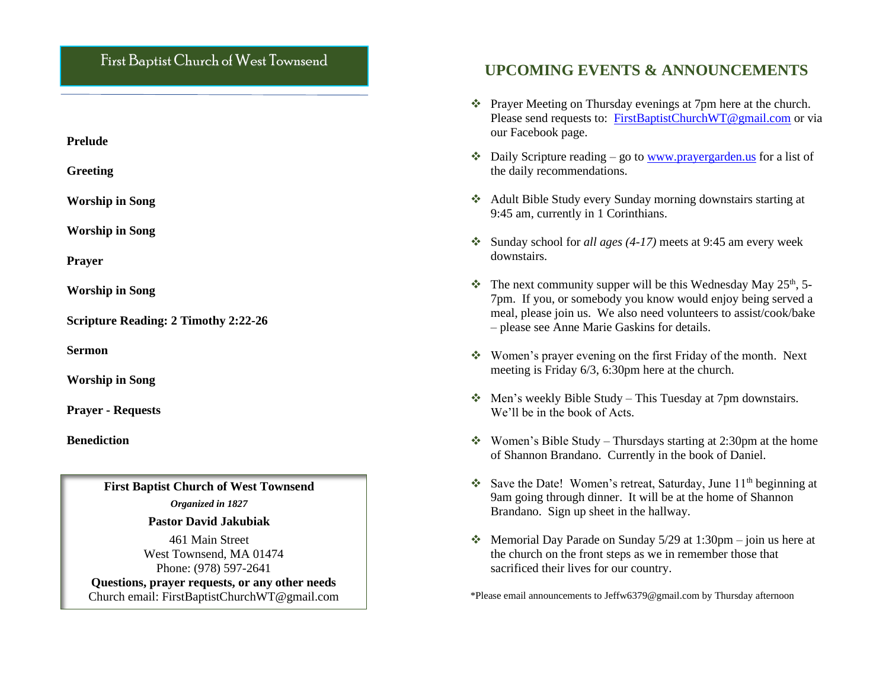## First Baptist Church of West Townsend

**Prelude**

**Greeting**

**Worship in Song** 

**Worship in Song**

**Prayer**

**Worship in Song** 

**Scripture Reading: 2 Timothy 2:22-26**

**Sermon**

**Worship in Song**

**Prayer - Requests**

**Benediction**

**First Baptist Church of West Townsend**

*Organized in 1827*

#### **Pastor David Jakubiak**

461 Main Street West Townsend, MA 01474 Phone: (978) 597-2641 **Questions, prayer requests, or any other needs** Church email: FirstBaptistChurchWT@gmail.com

## hat **UPCOMING EVENTS & ANNOUNCEMENTS**

- ❖ Prayer Meeting on Thursday evenings at 7pm here at the church. Please send requests to: [FirstBaptistChurchWT@gmail.com](mailto:FirstBaptistChurchWT@gmail.com) or via our Facebook page.
- $\triangleq$  Daily Scripture reading go to [www.prayergarden.us](http://www.prayergarden.us/) for a list of the daily recommendations.
- ❖ Adult Bible Study every Sunday morning downstairs starting at 9:45 am, currently in 1 Corinthians.
- ❖ Sunday school for *all ages (4-17)* meets at 9:45 am every week downstairs.
- $\cdot$  The next community supper will be this Wednesday May 25<sup>th</sup>, 5-7pm. If you, or somebody you know would enjoy being served a meal, please join us. We also need volunteers to assist/cook/bake – please see Anne Marie Gaskins for details.
- ❖ Women's prayer evening on the first Friday of the month. Next meeting is Friday 6/3, 6:30pm here at the church.
- ❖ Men's weekly Bible Study This Tuesday at 7pm downstairs. We'll be in the book of Acts.
- ❖ Women's Bible Study Thursdays starting at 2:30pm at the home of Shannon Brandano. Currently in the book of Daniel.
- ❖ Save the Date! Women's retreat, Saturday, June  $11<sup>th</sup>$  beginning at 9am going through dinner. It will be at the home of Shannon Brandano. Sign up sheet in the hallway.
- $\triangleleft$  Memorial Day Parade on Sunday 5/29 at 1:30pm join us here at the church on the front steps as we in remember those that sacrificed their lives for our country.

\*Please email announcements to Jeffw6379@gmail.com by Thursday afternoon